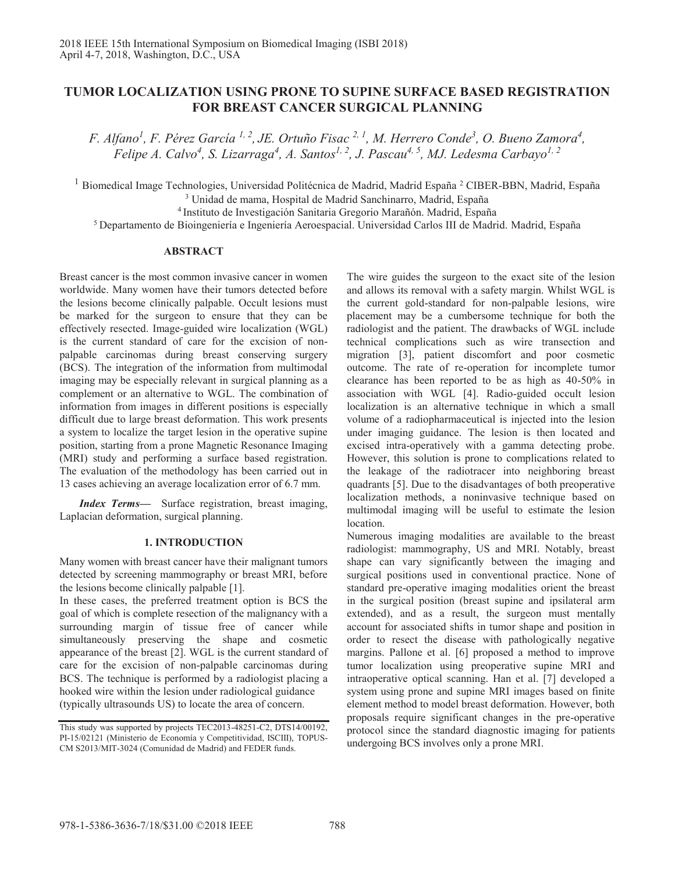# **TUMOR LOCALIZATION USING PRONE TO SUPINE SURFACE BASED REGISTRATION FOR BREAST CANCER SURGICAL PLANNING**

*F. Alfano<sup>1</sup> , F. Pérez García 1, 2, JE. Ortuño Fisac 2, 1, M. Herrero Conde3 , O. Bueno Zamora<sup>4</sup> , Felipe A. Calvo<sup>4</sup>, S. Lizarraga<sup>4</sup>, A. Santos<sup><i>l, 2*</sup>, J. Pascau<sup>4, 5</sup>, MJ. Ledesma Carbayo<sup>1, 2</sup>

<sup>1</sup> Biomedical Image Technologies, Universidad Politécnica de Madrid, Madrid España <sup>2</sup> CIBER-BBN, Madrid, España

<sup>3</sup> Unidad de mama, Hospital de Madrid Sanchinarro, Madrid, España<br><sup>4</sup> Instituto de Investigación Sanitaria Gregorio Marañón. Madrid, España<br><sup>5</sup> Departamento de Bioingeniería e Ingeniería Aeroespacial. Universidad Carlos I

### **ABSTRACT**

Breast cancer is the most common invasive cancer in women worldwide. Many women have their tumors detected before the lesions become clinically palpable. Occult lesions must be marked for the surgeon to ensure that they can be effectively resected. Image-guided wire localization (WGL) is the current standard of care for the excision of nonpalpable carcinomas during breast conserving surgery (BCS). The integration of the information from multimodal imaging may be especially relevant in surgical planning as a complement or an alternative to WGL. The combination of information from images in different positions is especially difficult due to large breast deformation. This work presents a system to localize the target lesion in the operative supine position, starting from a prone Magnetic Resonance Imaging (MRI) study and performing a surface based registration. The evaluation of the methodology has been carried out in 13 cases achieving an average localization error of 6.7 mm.

*Index Terms*— Surface registration, breast imaging, Laplacian deformation, surgical planning.

### **1. INTRODUCTION**

Many women with breast cancer have their malignant tumors detected by screening mammography or breast MRI, before the lesions become clinically palpable [1].

In these cases, the preferred treatment option is BCS the goal of which is complete resection of the malignancy with a surrounding margin of tissue free of cancer while simultaneously preserving the shape and cosmetic appearance of the breast [2]. WGL is the current standard of care for the excision of non-palpable carcinomas during BCS. The technique is performed by a radiologist placing a hooked wire within the lesion under radiological guidance (typically ultrasounds US) to locate the area of concern.

The wire guides the surgeon to the exact site of the lesion and allows its removal with a safety margin. Whilst WGL is the current gold-standard for non-palpable lesions, wire placement may be a cumbersome technique for both the radiologist and the patient. The drawbacks of WGL include technical complications such as wire transection and migration [3], patient discomfort and poor cosmetic outcome. The rate of re-operation for incomplete tumor clearance has been reported to be as high as 40-50% in association with WGL [4]. Radio-guided occult lesion localization is an alternative technique in which a small volume of a radiopharmaceutical is injected into the lesion under imaging guidance. The lesion is then located and excised intra-operatively with a gamma detecting probe. However, this solution is prone to complications related to the leakage of the radiotracer into neighboring breast quadrants [5]. Due to the disadvantages of both preoperative localization methods, a noninvasive technique based on multimodal imaging will be useful to estimate the lesion location.

Numerous imaging modalities are available to the breast radiologist: mammography, US and MRI. Notably, breast shape can vary significantly between the imaging and surgical positions used in conventional practice. None of standard pre-operative imaging modalities orient the breast in the surgical position (breast supine and ipsilateral arm extended), and as a result, the surgeon must mentally account for associated shifts in tumor shape and position in order to resect the disease with pathologically negative margins. Pallone et al. [6] proposed a method to improve tumor localization using preoperative supine MRI and intraoperative optical scanning. Han et al. [7] developed a system using prone and supine MRI images based on finite element method to model breast deformation. However, both proposals require significant changes in the pre-operative protocol since the standard diagnostic imaging for patients undergoing BCS involves only a prone MRI.

This study was supported by projects TEC2013-48251-C2, DTS14/00192, PI-15/02121 (Ministerio de Economía y Competitividad, ISCIII), TOPUS-CM S2013/MIT-3024 (Comunidad de Madrid) and FEDER funds.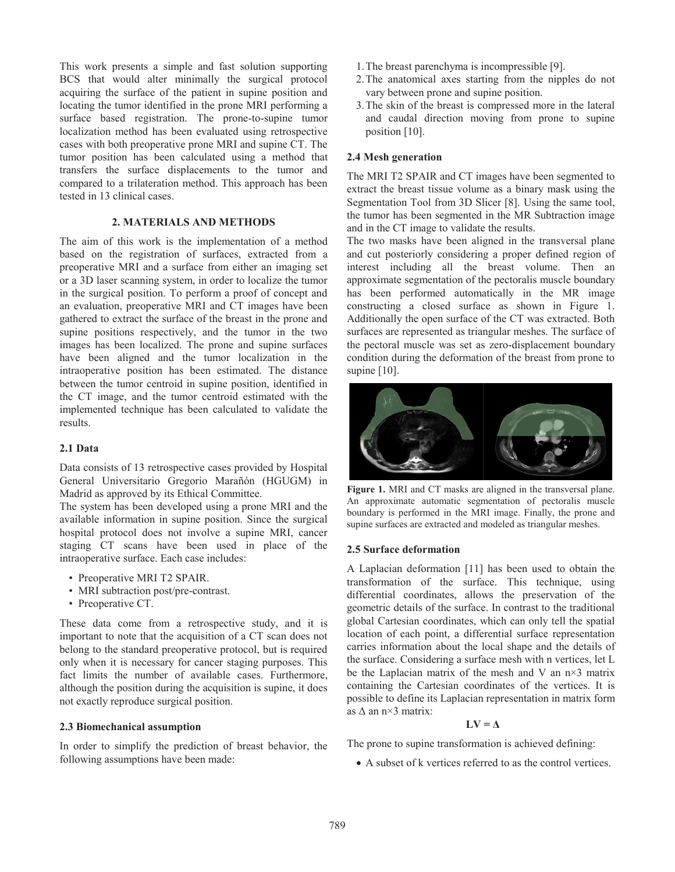This work presents a simple and fast solution supporting BCS that would alter minimally the surgical protocol acquiring the surface of the patient in supine position and locating the tumor identified in the prone MRI performing a surface based registration. The prone-to-supine tumor localization method has been evaluated using retrospective cases with both preoperative prone MRI and supine CT. The tumor position has been calculated using a method that transfers the surface displacements to the tumor and compared to a trilateration method. This approach has been tested in 13 clinical cases.

### **2. MATERIALS AND METHODS**

The aim of this work is the implementation of a method based on the registration of surfaces, extracted from a preoperative MRI and a surface from either an imaging set or a 3D laser scanning system, in order to localize the tumor in the surgical position. To perform a proof of concept and an evaluation, preoperative MRI and CT images have been gathered to extract the surface of the breast in the prone and supine positions respectively, and the tumor in the two images has been localized. The prone and supine surfaces have been aligned and the tumor localization in the intraoperative position has been estimated. The distance between the tumor centroid in supine position, identified in the CT image, and the tumor centroid estimated with the implemented technique has been calculated to validate the results.

### **2.1 Data**

Data consists of 13 retrospective cases provided by Hospital General Universitario Gregorio Marañón (HGUGM) in Madrid as approved by its Ethical Committee.

The system has been developed using a prone MRI and the available information in supine position. Since the surgical hospital protocol does not involve a supine MRI, cancer staging CT scans have been used in place of the intraoperative surface. Each case includes:

- Preoperative MRI T2 SPAIR.
- MRI subtraction post/pre-contrast.
- Preoperative CT.

These data come from a retrospective study, and it is important to note that the acquisition of a CT scan does not belong to the standard preoperative protocol, but is required only when it is necessary for cancer staging purposes. This fact limits the number of available cases. Furthermore, although the position during the acquisition is supine, it does not exactly reproduce surgical position.

#### **2.3 Biomechanical assumption**

In order to simplify the prediction of breast behavior, the following assumptions have been made:

- 1. The breast parenchyma is incompressible [9].
- 2. The anatomical axes starting from the nipples do not vary between prone and supine position.
- 3. The skin of the breast is compressed more in the lateral and caudal direction moving from prone to supine position [10].

### **2.4 Mesh generation**

The MRI T2 SPAIR and CT images have been segmented to extract the breast tissue volume as a binary mask using the Segmentation Tool from 3D Slicer [8]. Using the same tool, the tumor has been segmented in the MR Subtraction image and in the CT image to validate the results.

The two masks have been aligned in the transversal plane and cut posteriorly considering a proper defined region of interest including all the breast volume. Then an approximate segmentation of the pectoralis muscle boundary has been performed automatically in the MR image constructing a closed surface as shown in Figure 1. Additionally the open surface of the CT was extracted. Both surfaces are represented as triangular meshes. The surface of the pectoral muscle was set as zero-displacement boundary condition during the deformation of the breast from prone to supine [10].



**Figure 1.** MRI and CT masks are aligned in the transversal plane. An approximate automatic segmentation of pectoralis muscle boundary is performed in the MRI image. Finally, the prone and supine surfaces are extracted and modeled as triangular meshes.

#### **2.5 Surface deformation**

A Laplacian deformation [11] has been used to obtain the transformation of the surface. This technique, using differential coordinates, allows the preservation of the geometric details of the surface. In contrast to the traditional global Cartesian coordinates, which can only tell the spatial location of each point, a differential surface representation carries information about the local shape and the details of the surface. Considering a surface mesh with n vertices, let L be the Laplacian matrix of the mesh and V an  $n \times 3$  matrix containing the Cartesian coordinates of the vertices. It is possible to define its Laplacian representation in matrix form as  $\Delta$  an n×3 matrix:

#### $LV = \Delta$

The prone to supine transformation is achieved defining:

A subset of k vertices referred to as the control vertices.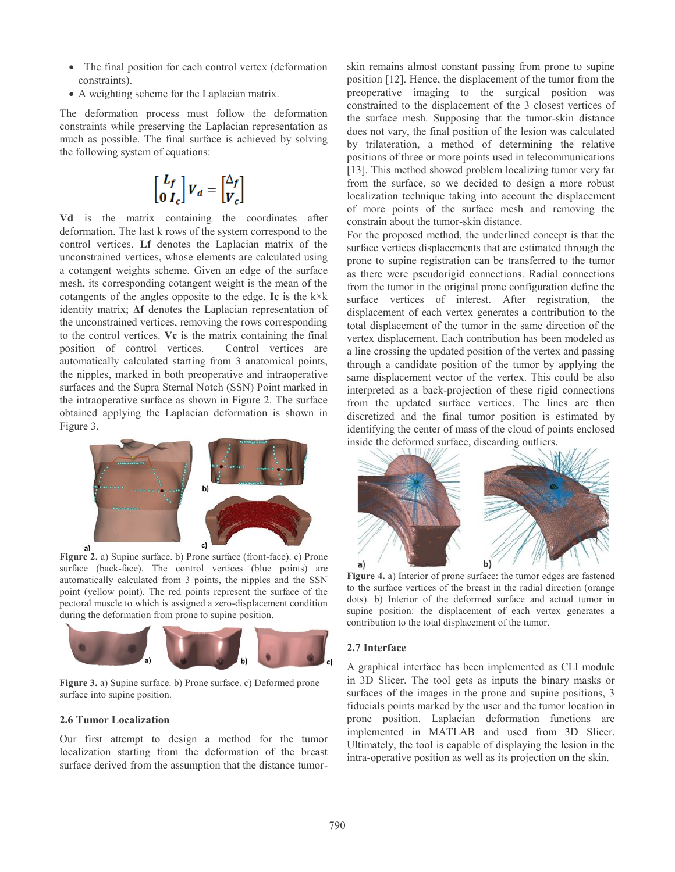- The final position for each control vertex (deformation constraints).
- A weighting scheme for the Laplacian matrix.

The deformation process must follow the deformation constraints while preserving the Laplacian representation as much as possible. The final surface is achieved by solving the following system of equations:

$$
\begin{bmatrix} L_f \\ 0 & I_c \end{bmatrix} V_d = \begin{bmatrix} \Delta_f \\ V_c \end{bmatrix}
$$

**Vd** is the matrix containing the coordinates after deformation. The last k rows of the system correspond to the control vertices. **Lf** denotes the Laplacian matrix of the unconstrained vertices, whose elements are calculated using a cotangent weights scheme. Given an edge of the surface mesh, its corresponding cotangent weight is the mean of the cotangents of the angles opposite to the edge. **Ic** is the k×k identity matrix;  $\Delta f$  denotes the Laplacian representation of the unconstrained vertices, removing the rows corresponding to the control vertices. **Vc** is the matrix containing the final position of control vertices. Control vertices are automatically calculated starting from 3 anatomical points, the nipples, marked in both preoperative and intraoperative surfaces and the Supra Sternal Notch (SSN) Point marked in the intraoperative surface as shown in Figure 2. The surface obtained applying the Laplacian deformation is shown in Figure 3.



**Figure 2.** a) Supine surface. b) Prone surface (front-face). c) Prone surface (back-face). The control vertices (blue points) are automatically calculated from 3 points, the nipples and the SSN point (yellow point). The red points represent the surface of the pectoral muscle to which is assigned a zero-displacement condition during the deformation from prone to supine position.



**Figure 3.** a) Supine surface. b) Prone surface. c) Deformed prone surface into supine position.

### **2.6 Tumor Localization**

Our first attempt to design a method for the tumor localization starting from the deformation of the breast surface derived from the assumption that the distance tumorskin remains almost constant passing from prone to supine position [12]. Hence, the displacement of the tumor from the preoperative imaging to the surgical position was constrained to the displacement of the 3 closest vertices of the surface mesh. Supposing that the tumor-skin distance does not vary, the final position of the lesion was calculated by trilateration, a method of determining the relative positions of three or more points used in telecommunications [13]. This method showed problem localizing tumor very far from the surface, so we decided to design a more robust localization technique taking into account the displacement of more points of the surface mesh and removing the constrain about the tumor-skin distance.

For the proposed method, the underlined concept is that the surface vertices displacements that are estimated through the prone to supine registration can be transferred to the tumor as there were pseudorigid connections. Radial connections from the tumor in the original prone configuration define the surface vertices of interest. After registration, the displacement of each vertex generates a contribution to the total displacement of the tumor in the same direction of the vertex displacement. Each contribution has been modeled as a line crossing the updated position of the vertex and passing through a candidate position of the tumor by applying the same displacement vector of the vertex. This could be also interpreted as a back-projection of these rigid connections from the updated surface vertices. The lines are then discretized and the final tumor position is estimated by identifying the center of mass of the cloud of points enclosed inside the deformed surface, discarding outliers.



**Figure 4.** a) Interior of prone surface: the tumor edges are fastened to the surface vertices of the breast in the radial direction (orange dots). b) Interior of the deformed surface and actual tumor in supine position: the displacement of each vertex generates a contribution to the total displacement of the tumor.

## **2.7 Interface**

A graphical interface has been implemented as CLI module in 3D Slicer. The tool gets as inputs the binary masks or surfaces of the images in the prone and supine positions, 3 fiducials points marked by the user and the tumor location in prone position. Laplacian deformation functions are implemented in MATLAB and used from 3D Slicer. Ultimately, the tool is capable of displaying the lesion in the intra-operative position as well as its projection on the skin.